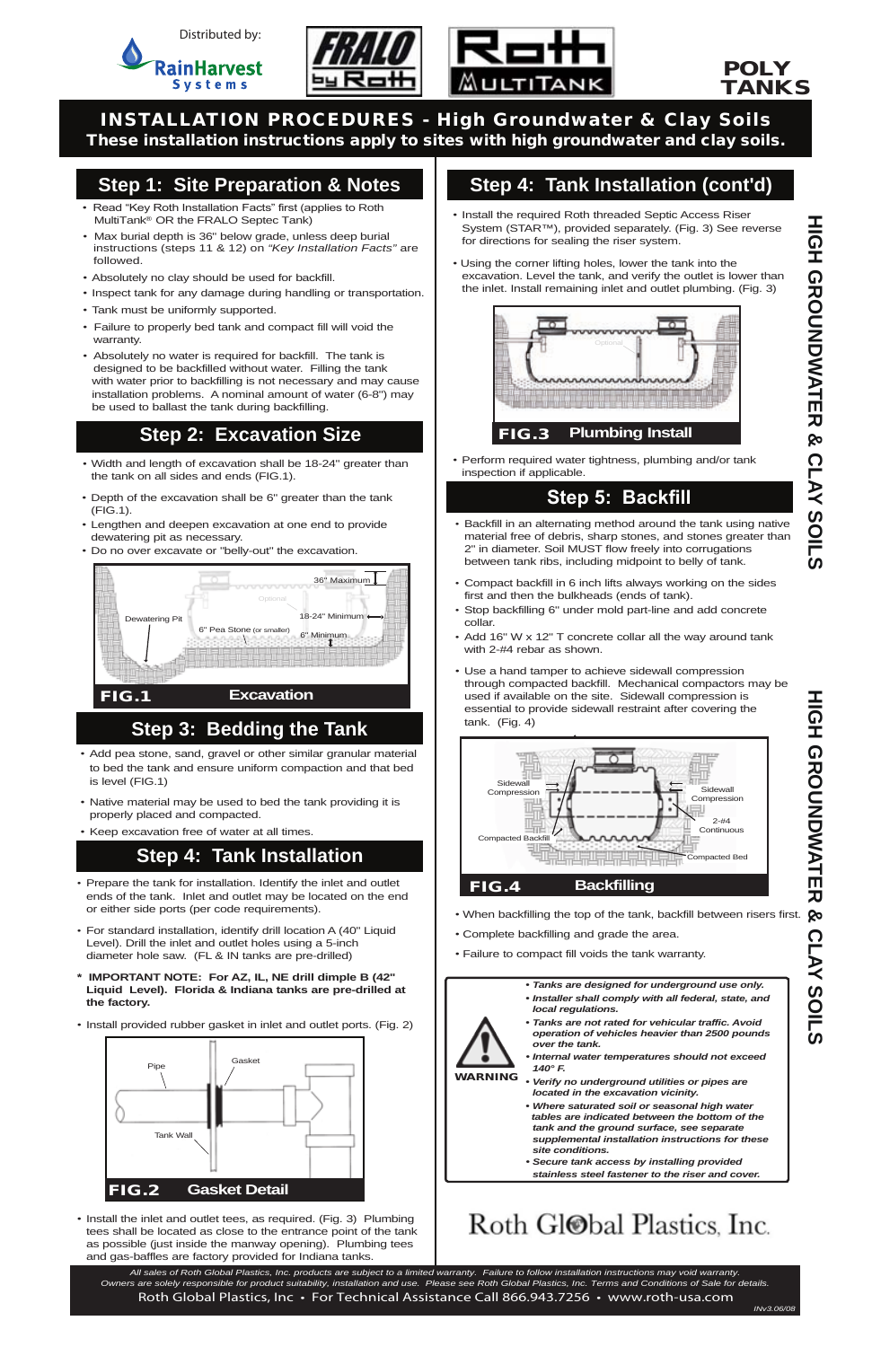

- *•* Width and length of excavation shall be 18-24" greater than the tank on all sides and ends (FIG.1).
- Depth of the excavation shall be 6" greater than the tank (FIG.1).
- Lengthen and deepen excavation at one end to provide dewatering pit as necessary.
- Do no over excavate or "belly-out" the excavation.

#### *• Tanks are designed for underground use only.*

- *• Installer shall comply with all federal, state, and local regulations.*
- *• Tanks are not rated for vehicular traffic. Avoid operation of vehicles heavier than 2500 pounds over the tank.*
- *• Internal water temperatures should not exceed 140° F.*
- WARNING *• Verify no underground utilities or pipes are located in the excavation vicinity.*
	- *• Where saturated soil or seasonal high water tables are indicated between the bottom of the tank and the ground surface, see separate supplemental installation instructions for these site conditions.*
	- *• Secure tank access by installing provided stainless steel fastener to the riser and cover.*

## Roth Gl@bal Plastics. Inc.

### POLY TANKS

INSTALLATION PROCEDURES - High Groundwater & Clay Soils These installation instructions apply to sites with high groundwater and clay soils.

## **Step 1: Site Preparation & Notes**

- Install the required Roth threaded Septic Access Riser System (STAR™), provided separately. (Fig. 3) See reverse for directions for sealing the riser system.
- Using the corner lifting holes, lower the tank into the excavation. Level the tank, and verify the outlet is lower than the inlet. Install remaining inlet and outlet plumbing. (Fig. 3)

## **Step 2: Excavation Size**

### **Step 5: Backfill**

- Prepare the tank for installation. Identify the inlet and outlet ends of the tank. Inlet and outlet may be located on the end or either side ports (per code requirements).
- For standard installation, identify drill location A (40" Liquid Level). Drill the inlet and outlet holes using a 5-inch diameter hole saw. (FL & IN tanks are pre-drilled)
- **\* IMPORTANT NOTE: For AZ, IL, NE drill dimple B (42" Liquid Level). Florida & Indiana tanks are pre-drilled at the factory.**
- When backfilling the top of the tank, backfill between risers first.  $\bullet$
- Complete backfilling and grade the area.
- Failure to compact fill voids the tank warranty.

• Install provided rubber gasket in inlet and outlet ports. (Fig. 2)

*•* Install the inlet and outlet tees, as required. (Fig. 3) Plumbing tees shall be located as close to the entrance point of the tank as possible (just inside the manway opening). Plumbing tees and gas-baffles are factory provided for Indiana tanks.



## **Step 4: Tank Installation (cont'd)**

## **Step 4: Tank Installation**

• Perform required water tightness, plumbing and/or tank inspection if applicable.

- Backfill in an alternating method around the tank using native material free of debris, sharp stones, and stones greater than 2" in diameter. Soil MUST flow freely into corrugations between tank ribs, including midpoint to belly of tank.
- Compact backfill in 6 inch lifts always working on the sides first and then the bulkheads (ends of tank).
- Stop backfilling 6" under mold part-line and add concrete collar.
- Add 16" W x 12" T concrete collar all the way around tank with 2-#4 rebar as shown.
- Use a hand tamper to achieve sidewall compression through compacted backfill. Mechanical compactors may be used if available on the site. Sidewall compression is essential to provide sidewall restraint after covering the tank. (Fig. 4)

- *•* Add pea stone, sand, gravel or other similar granular material to bed the tank and ensure uniform compaction and that bed is level (FIG.1)
- Native material may be used to bed the tank providing it is properly placed and compacted.
- Keep excavation free of water at all times.

## **Step 3: Bedding the Tank**





- Read "Key Roth Installation Facts" first (applies to Roth MultiTank<sup>®</sup> OR the FRALO Septec Tank)
- Max burial depth is 36" below grade, unless deep burial instructions (steps 11 & 12) on *"Key Installation Facts"* are followed.
- Absolutely no clay should be used for backfill.
- Inspect tank for any damage during handling or transportation.
- Tank must be uniformly supported.
- Failure to properly bed tank and compact fill will void the warranty.
- Absolutely no water is required for backfill. The tank is designed to be backfilled without water. Filling the tank with water prior to backfilling is not necessary and may cause installation problems. A nominal amount of water (6-8") may be used to ballast the tank during backfilling.

*All sales of Roth Global Plastics, Inc. products are subject to a limited warranty. Failure to follow installation instructions may void warranty. Owners are solely responsible for product suitability, installation and use. Please see Roth Global Plastics, Inc. Terms and Conditions of Sale for details.* Roth Global Plastics, Inc • For Technical Assistance Call 866.943.7256 • www.roth-usa.com

У.<br>К

**HIGH GROUNDWATER**